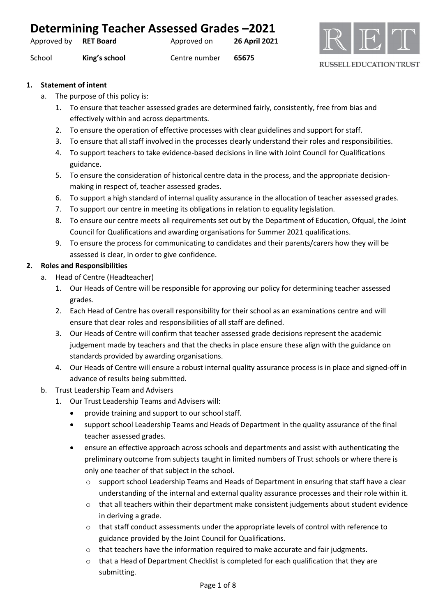| Determining Teacher Assessed Grades-2021 |               |               |               |  |
|------------------------------------------|---------------|---------------|---------------|--|
| Approved by <b>RET Board</b>             |               | Approved on   | 26 April 2021 |  |
| School                                   | King's school | Centre number | 65675         |  |



#### **1. Statement of intent**

- a. The purpose of this policy is:
	- 1. To ensure that teacher assessed grades are determined fairly, consistently, free from bias and effectively within and across departments.
	- 2. To ensure the operation of effective processes with clear guidelines and support for staff.
	- 3. To ensure that all staff involved in the processes clearly understand their roles and responsibilities.
	- 4. To support teachers to take evidence-based decisions in line with Joint Council for Qualifications guidance.
	- 5. To ensure the consideration of historical centre data in the process, and the appropriate decisionmaking in respect of, teacher assessed grades.
	- 6. To support a high standard of internal quality assurance in the allocation of teacher assessed grades.
	- 7. To support our centre in meeting its obligations in relation to equality legislation.
	- 8. To ensure our centre meets all requirements set out by the Department of Education, Ofqual, the Joint Council for Qualifications and awarding organisations for Summer 2021 qualifications.
	- 9. To ensure the process for communicating to candidates and their parents/carers how they will be assessed is clear, in order to give confidence.

## **2. Roles and Responsibilities**

- a. Head of Centre (Headteacher)
	- 1. Our Heads of Centre will be responsible for approving our policy for determining teacher assessed grades.
	- 2. Each Head of Centre has overall responsibility for their school as an examinations centre and will ensure that clear roles and responsibilities of all staff are defined.
	- 3. Our Heads of Centre will confirm that teacher assessed grade decisions represent the academic judgement made by teachers and that the checks in place ensure these align with the guidance on standards provided by awarding organisations.
	- 4. Our Heads of Centre will ensure a robust internal quality assurance process is in place and signed-off in advance of results being submitted.
- b. Trust Leadership Team and Advisers
	- 1. Our Trust Leadership Teams and Advisers will:
		- provide training and support to our school staff.
		- support school Leadership Teams and Heads of Department in the quality assurance of the final teacher assessed grades.
		- ensure an effective approach across schools and departments and assist with authenticating the preliminary outcome from subjects taught in limited numbers of Trust schools or where there is only one teacher of that subject in the school.
			- $\circ$  support school Leadership Teams and Heads of Department in ensuring that staff have a clear understanding of the internal and external quality assurance processes and their role within it.
			- $\circ$  that all teachers within their department make consistent judgements about student evidence in deriving a grade.
			- $\circ$  that staff conduct assessments under the appropriate levels of control with reference to guidance provided by the Joint Council for Qualifications.
			- $\circ$  that teachers have the information required to make accurate and fair judgments.
			- $\circ$  that a Head of Department Checklist is completed for each qualification that they are submitting.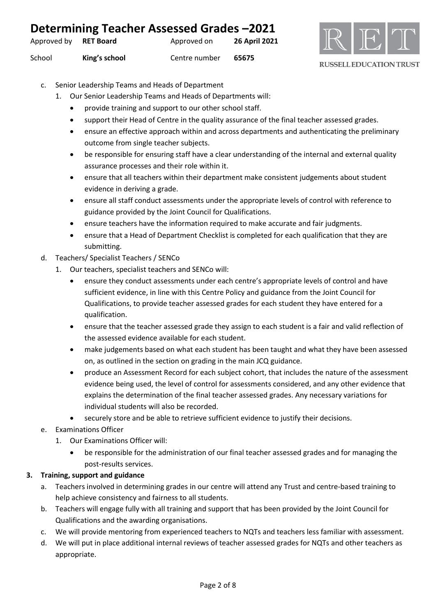| Determining Teacher Assessed Grades-2021 |               |               |                      |  |
|------------------------------------------|---------------|---------------|----------------------|--|
| Approved by <b>RET Board</b>             |               | Approved on   | <b>26 April 2021</b> |  |
| School                                   | King's school | Centre number | 65675                |  |



- c. Senior Leadership Teams and Heads of Department
	- 1. Our Senior Leadership Teams and Heads of Departments will:
		- provide training and support to our other school staff.
		- support their Head of Centre in the quality assurance of the final teacher assessed grades.
		- ensure an effective approach within and across departments and authenticating the preliminary outcome from single teacher subjects.
		- be responsible for ensuring staff have a clear understanding of the internal and external quality assurance processes and their role within it.
		- ensure that all teachers within their department make consistent judgements about student evidence in deriving a grade.
		- ensure all staff conduct assessments under the appropriate levels of control with reference to guidance provided by the Joint Council for Qualifications.
		- ensure teachers have the information required to make accurate and fair judgments.
		- ensure that a Head of Department Checklist is completed for each qualification that they are submitting.
- d. Teachers/ Specialist Teachers / SENCo
	- 1. Our teachers, specialist teachers and SENCo will:
		- ensure they conduct assessments under each centre's appropriate levels of control and have sufficient evidence, in line with this Centre Policy and guidance from the Joint Council for Qualifications, to provide teacher assessed grades for each student they have entered for a qualification.
		- ensure that the teacher assessed grade they assign to each student is a fair and valid reflection of the assessed evidence available for each student.
		- make judgements based on what each student has been taught and what they have been assessed on, as outlined in the section on grading in the main JCQ guidance.
		- produce an Assessment Record for each subject cohort, that includes the nature of the assessment evidence being used, the level of control for assessments considered, and any other evidence that explains the determination of the final teacher assessed grades. Any necessary variations for individual students will also be recorded.
		- securely store and be able to retrieve sufficient evidence to justify their decisions.
- e. Examinations Officer
	- 1. Our Examinations Officer will:
		- be responsible for the administration of our final teacher assessed grades and for managing the post-results services.

## **3. Training, support and guidance**

- a. Teachers involved in determining grades in our centre will attend any Trust and centre-based training to help achieve consistency and fairness to all students.
- b. Teachers will engage fully with all training and support that has been provided by the Joint Council for Qualifications and the awarding organisations.
- c. We will provide mentoring from experienced teachers to NQTs and teachers less familiar with assessment.
- d. We will put in place additional internal reviews of teacher assessed grades for NQTs and other teachers as appropriate.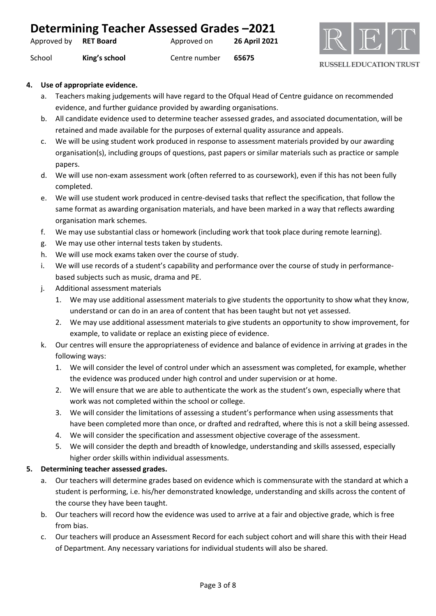| Determining Teacher Assessed Grades -2021 |               |               |               |
|-------------------------------------------|---------------|---------------|---------------|
| Approved by RET Board                     |               | Approved on   | 26 April 2021 |
| School                                    | King's school | Centre number | 65675         |



#### **4. Use of appropriate evidence.**

- a. Teachers making judgements will have regard to the Ofqual Head of Centre guidance on recommended evidence, and further guidance provided by awarding organisations.
- b. All candidate evidence used to determine teacher assessed grades, and associated documentation, will be retained and made available for the purposes of external quality assurance and appeals.
- c. We will be using student work produced in response to assessment materials provided by our awarding organisation(s), including groups of questions, past papers or similar materials such as practice or sample papers.
- d. We will use non-exam assessment work (often referred to as coursework), even if this has not been fully completed.
- e. We will use student work produced in centre-devised tasks that reflect the specification, that follow the same format as awarding organisation materials, and have been marked in a way that reflects awarding organisation mark schemes.
- f. We may use substantial class or homework (including work that took place during remote learning).
- g. We may use other internal tests taken by students.
- h. We will use mock exams taken over the course of study.
- i. We will use records of a student's capability and performance over the course of study in performancebased subjects such as music, drama and PE.
- j. Additional assessment materials
	- 1. We may use additional assessment materials to give students the opportunity to show what they know, understand or can do in an area of content that has been taught but not yet assessed.
	- 2. We may use additional assessment materials to give students an opportunity to show improvement, for example, to validate or replace an existing piece of evidence.
- k. Our centres will ensure the appropriateness of evidence and balance of evidence in arriving at grades in the following ways:
	- 1. We will consider the level of control under which an assessment was completed, for example, whether the evidence was produced under high control and under supervision or at home.
	- 2. We will ensure that we are able to authenticate the work as the student's own, especially where that work was not completed within the school or college.
	- 3. We will consider the limitations of assessing a student's performance when using assessments that have been completed more than once, or drafted and redrafted, where this is not a skill being assessed.
	- 4. We will consider the specification and assessment objective coverage of the assessment.
	- 5. We will consider the depth and breadth of knowledge, understanding and skills assessed, especially higher order skills within individual assessments.

## **5. Determining teacher assessed grades.**

- a. Our teachers will determine grades based on evidence which is commensurate with the standard at which a student is performing, i.e. his/her demonstrated knowledge, understanding and skills across the content of the course they have been taught.
- b. Our teachers will record how the evidence was used to arrive at a fair and objective grade, which is free from bias.
- c. Our teachers will produce an Assessment Record for each subject cohort and will share this with their Head of Department. Any necessary variations for individual students will also be shared.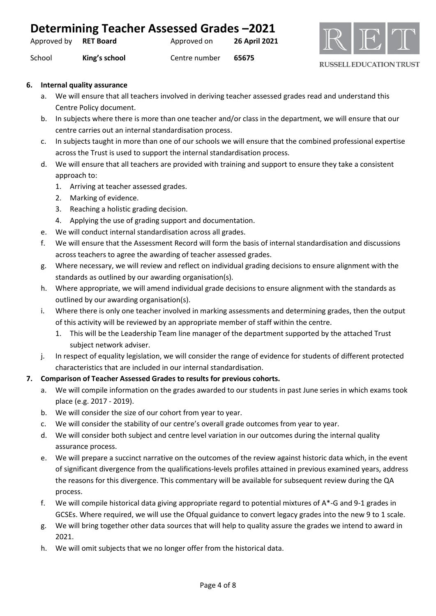| Determining Teacher Assessed Grades -2021 |               |               |                      |
|-------------------------------------------|---------------|---------------|----------------------|
| Approved by RET Board                     |               | Approved on   | <b>26 April 2021</b> |
| School                                    | King's school | Centre number | 65675                |



#### **6. Internal quality assurance**

- a. We will ensure that all teachers involved in deriving teacher assessed grades read and understand this Centre Policy document.
- b. In subjects where there is more than one teacher and/or class in the department, we will ensure that our centre carries out an internal standardisation process.
- c. In subjects taught in more than one of our schools we will ensure that the combined professional expertise across the Trust is used to support the internal standardisation process.
- d. We will ensure that all teachers are provided with training and support to ensure they take a consistent approach to:
	- 1. Arriving at teacher assessed grades.
	- 2. Marking of evidence.
	- 3. Reaching a holistic grading decision.
	- 4. Applying the use of grading support and documentation.
- e. We will conduct internal standardisation across all grades.
- f. We will ensure that the Assessment Record will form the basis of internal standardisation and discussions across teachers to agree the awarding of teacher assessed grades.
- g. Where necessary, we will review and reflect on individual grading decisions to ensure alignment with the standards as outlined by our awarding organisation(s).
- h. Where appropriate, we will amend individual grade decisions to ensure alignment with the standards as outlined by our awarding organisation(s).
- i. Where there is only one teacher involved in marking assessments and determining grades, then the output of this activity will be reviewed by an appropriate member of staff within the centre.
	- 1. This will be the Leadership Team line manager of the department supported by the attached Trust subject network adviser.
- j. In respect of equality legislation, we will consider the range of evidence for students of different protected characteristics that are included in our internal standardisation.

## **7. Comparison of Teacher Assessed Grades to results for previous cohorts.**

- a. We will compile information on the grades awarded to our students in past June series in which exams took place (e.g. 2017 - 2019).
- b. We will consider the size of our cohort from year to year.
- c. We will consider the stability of our centre's overall grade outcomes from year to year.
- d. We will consider both subject and centre level variation in our outcomes during the internal quality assurance process.
- e. We will prepare a succinct narrative on the outcomes of the review against historic data which, in the event of significant divergence from the qualifications-levels profiles attained in previous examined years, address the reasons for this divergence. This commentary will be available for subsequent review during the QA process.
- f. We will compile historical data giving appropriate regard to potential mixtures of A\*-G and 9-1 grades in GCSEs. Where required, we will use the Ofqual guidance to convert legacy grades into the new 9 to 1 scale.
- g. We will bring together other data sources that will help to quality assure the grades we intend to award in 2021.
- h. We will omit subjects that we no longer offer from the historical data.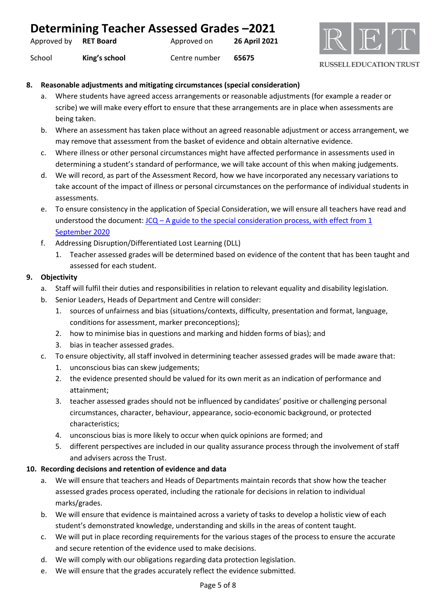| Determining Teacher Assessed Grades -2021 |                  |               |                      |
|-------------------------------------------|------------------|---------------|----------------------|
| Approved by                               | <b>RET Board</b> | Approved on   | <b>26 April 2021</b> |
| School                                    | King's school    | Centre number | 65675                |



#### **8. Reasonable adjustments and mitigating circumstances (special consideration)**

- a. Where students have agreed access arrangements or reasonable adjustments (for example a reader or scribe) we will make every effort to ensure that these arrangements are in place when assessments are being taken.
- b. Where an assessment has taken place without an agreed reasonable adjustment or access arrangement, we may remove that assessment from the basket of evidence and obtain alternative evidence.
- c. Where illness or other personal circumstances might have affected performance in assessments used in determining a student's standard of performance, we will take account of this when making judgements.
- d. We will record, as part of the Assessment Record, how we have incorporated any necessary variations to take account of the impact of illness or personal circumstances on the performance of individual students in assessments.
- e. To ensure consistency in the application of Special Consideration, we will ensure all teachers have read and understood the document:  $JCQ - A$  guide to the special consideration process, with effect from 1 [September 2020](https://www.jcq.org.uk/wp-content/uploads/2020/08/A-guide-to-the-spec-con-process-202021-Website-version.pdf)
- f. Addressing Disruption/Differentiated Lost Learning (DLL)
	- 1. Teacher assessed grades will be determined based on evidence of the content that has been taught and assessed for each student.

## **9. Objectivity**

- a. Staff will fulfil their duties and responsibilities in relation to relevant equality and disability legislation.
- b. Senior Leaders, Heads of Department and Centre will consider:
	- 1. sources of unfairness and bias (situations/contexts, difficulty, presentation and format, language, conditions for assessment, marker preconceptions);
	- 2. how to minimise bias in questions and marking and hidden forms of bias); and
	- 3. bias in teacher assessed grades.
- c. To ensure objectivity, all staff involved in determining teacher assessed grades will be made aware that:
	- 1. unconscious bias can skew judgements;
	- 2. the evidence presented should be valued for its own merit as an indication of performance and attainment;
	- 3. teacher assessed grades should not be influenced by candidates' positive or challenging personal circumstances, character, behaviour, appearance, socio-economic background, or protected characteristics;
	- 4. unconscious bias is more likely to occur when quick opinions are formed; and
	- 5. different perspectives are included in our quality assurance process through the involvement of staff and advisers across the Trust.

#### **10. Recording decisions and retention of evidence and data**

- a. We will ensure that teachers and Heads of Departments maintain records that show how the teacher assessed grades process operated, including the rationale for decisions in relation to individual marks/grades.
- b. We will ensure that evidence is maintained across a variety of tasks to develop a holistic view of each student's demonstrated knowledge, understanding and skills in the areas of content taught.
- c. We will put in place recording requirements for the various stages of the process to ensure the accurate and secure retention of the evidence used to make decisions.
- d. We will comply with our obligations regarding data protection legislation.
- e. We will ensure that the grades accurately reflect the evidence submitted.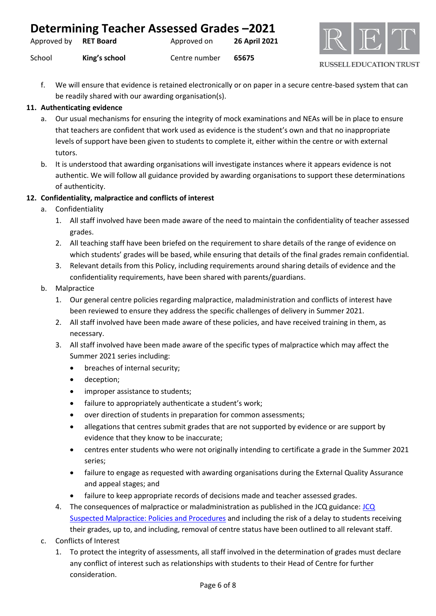| Determining Teacher Assessed Grades -2021 |               |               |                      |
|-------------------------------------------|---------------|---------------|----------------------|
| Approved by RET Board                     |               | Approved on   | <b>26 April 2021</b> |
| School                                    | King's school | Centre number | 65675                |



f. We will ensure that evidence is retained electronically or on paper in a secure centre-based system that can be readily shared with our awarding organisation(s).

## **11. Authenticating evidence**

- a. Our usual mechanisms for ensuring the integrity of mock examinations and NEAs will be in place to ensure that teachers are confident that work used as evidence is the student's own and that no inappropriate levels of support have been given to students to complete it, either within the centre or with external tutors.
- b. It is understood that awarding organisations will investigate instances where it appears evidence is not authentic. We will follow all guidance provided by awarding organisations to support these determinations of authenticity.

## **12. Confidentiality, malpractice and conflicts of interest**

- a. Confidentiality
	- 1. All staff involved have been made aware of the need to maintain the confidentiality of teacher assessed grades.
	- 2. All teaching staff have been briefed on the requirement to share details of the range of evidence on which students' grades will be based, while ensuring that details of the final grades remain confidential.
	- 3. Relevant details from this Policy, including requirements around sharing details of evidence and the confidentiality requirements, have been shared with parents/guardians.
- b. Malpractice
	- 1. Our general centre policies regarding malpractice, maladministration and conflicts of interest have been reviewed to ensure they address the specific challenges of delivery in Summer 2021.
	- 2. All staff involved have been made aware of these policies, and have received training in them, as necessary.
	- 3. All staff involved have been made aware of the specific types of malpractice which may affect the Summer 2021 series including:
		- breaches of internal security;
		- deception;
		- improper assistance to students;
		- failure to appropriately authenticate a student's work;
		- over direction of students in preparation for common assessments;
		- allegations that centres submit grades that are not supported by evidence or are support by evidence that they know to be inaccurate;
		- centres enter students who were not originally intending to certificate a grade in the Summer 2021 series;
		- failure to engage as requested with awarding organisations during the External Quality Assurance and appeal stages; and
		- failure to keep appropriate records of decisions made and teacher assessed grades.
	- 4. The consequences of malpractice or maladministration as published in the JCQ guidance: [JCQ](https://www.jcq.org.uk/exams-office/malpractice/jcq-suspected-malpractice-policies-and-procedures-2019-2020)  [Suspected Malpractice: Policies and Procedures](https://www.jcq.org.uk/exams-office/malpractice/jcq-suspected-malpractice-policies-and-procedures-2019-2020) and including the risk of a delay to students receiving their grades, up to, and including, removal of centre status have been outlined to all relevant staff.
- c. Conflicts of Interest
	- 1. To protect the integrity of assessments, all staff involved in the determination of grades must declare any conflict of interest such as relationships with students to their Head of Centre for further consideration.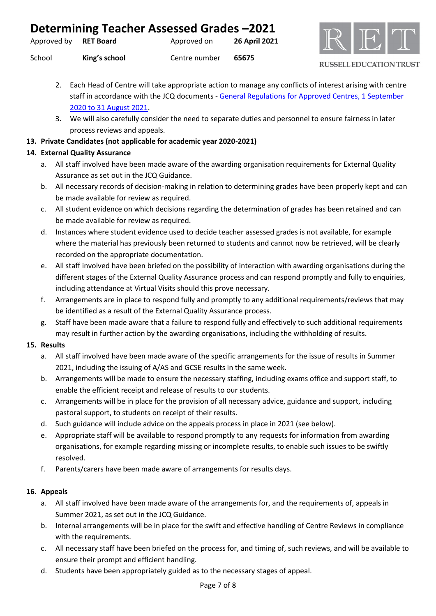| Determining Teacher Assessed Grades-2021 |  |  |  |  |
|------------------------------------------|--|--|--|--|
|------------------------------------------|--|--|--|--|

| Approved by | <b>RET Board</b> | Approved on | 26 April 2021 |
|-------------|------------------|-------------|---------------|
|-------------|------------------|-------------|---------------|

School **King's school** Centre number **65675**

**RUSSELL EDUCATION TRUST** 

- 2. Each Head of Centre will take appropriate action to manage any conflicts of interest arising with centre staff in accordance with the JCQ documents - General Regulations for Approved Centres, 1 September [2020 to 31 August 2021.](https://www.jcq.org.uk/wp-content/uploads/2020/09/Gen_regs_approved_centres_20-21_FINAL.pdf)
- 3. We will also carefully consider the need to separate duties and personnel to ensure fairness in later process reviews and appeals.

## **13. Private Candidates (not applicable for academic year 2020-2021)**

# **14. External Quality Assurance**

- a. All staff involved have been made aware of the awarding organisation requirements for External Quality Assurance as set out in the JCQ Guidance.
- b. All necessary records of decision-making in relation to determining grades have been properly kept and can be made available for review as required.
- c. All student evidence on which decisions regarding the determination of grades has been retained and can be made available for review as required.
- d. Instances where student evidence used to decide teacher assessed grades is not available, for example where the material has previously been returned to students and cannot now be retrieved, will be clearly recorded on the appropriate documentation.
- e. All staff involved have been briefed on the possibility of interaction with awarding organisations during the different stages of the External Quality Assurance process and can respond promptly and fully to enquiries, including attendance at Virtual Visits should this prove necessary.
- f. Arrangements are in place to respond fully and promptly to any additional requirements/reviews that may be identified as a result of the External Quality Assurance process.
- g. Staff have been made aware that a failure to respond fully and effectively to such additional requirements may result in further action by the awarding organisations, including the withholding of results.

# **15. Results**

- a. All staff involved have been made aware of the specific arrangements for the issue of results in Summer 2021, including the issuing of A/AS and GCSE results in the same week.
- b. Arrangements will be made to ensure the necessary staffing, including exams office and support staff, to enable the efficient receipt and release of results to our students.
- c. Arrangements will be in place for the provision of all necessary advice, guidance and support, including pastoral support, to students on receipt of their results.
- d. Such guidance will include advice on the appeals process in place in 2021 (see below).
- e. Appropriate staff will be available to respond promptly to any requests for information from awarding organisations, for example regarding missing or incomplete results, to enable such issues to be swiftly resolved.
- f. Parents/carers have been made aware of arrangements for results days.

## **16. Appeals**

- a. All staff involved have been made aware of the arrangements for, and the requirements of, appeals in Summer 2021, as set out in the JCQ Guidance.
- b. Internal arrangements will be in place for the swift and effective handling of Centre Reviews in compliance with the requirements.
- c. All necessary staff have been briefed on the process for, and timing of, such reviews, and will be available to ensure their prompt and efficient handling.
- d. Students have been appropriately guided as to the necessary stages of appeal.